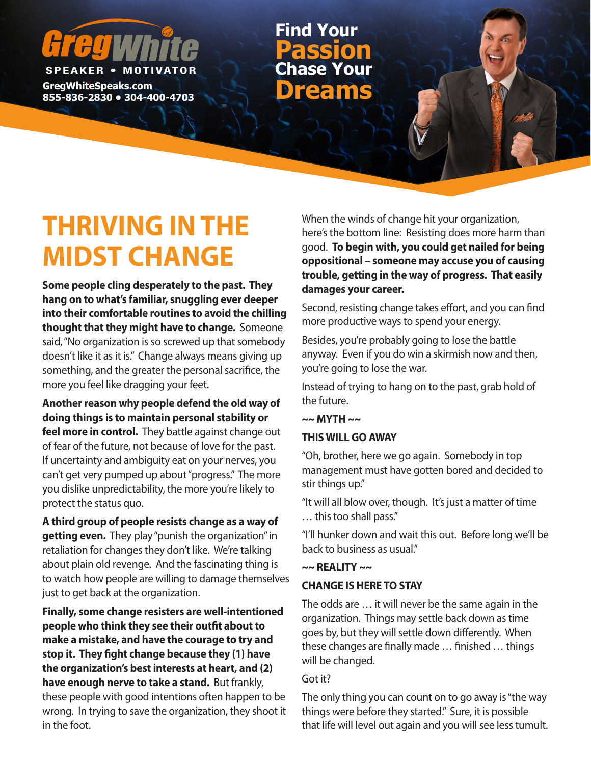# **SPEAKER • MOTIV**

**GregWhiteSpeaks.com BregWhiteSpeaks.com**<br>855-836-2830 • 304-400-4703

**Chase Your Passion Find Your**

## **THRIVING IN THE MIDST CHANGE**

**Some people cling desperately to the past. They hang on to what's familiar, snuggling ever deeper into their comfortable routines to avoid the chilling thought that they might have to change.** Someone said, "No organization is so screwed up that somebody doesn't like it as it is." Change always means giving up something, and the greater the personal sacrifice, the more you feel like dragging your feet.

**Another reason why people defend the old way of doing things is to maintain personal stability or feel more in control.** They battle against change out of fear of the future, not because of love for the past. If uncertainty and ambiguity eat on your nerves, you can't get very pumped up about "progress." The more you dislike unpredictability, the more you're likely to protect the status quo.

**A third group of people resists change as a way of getting even.** They play "punish the organization" in retaliation for changes they don't like. We're talking about plain old revenge. And the fascinating thing is to watch how people are willing to damage themselves just to get back at the organization.

**Finally, some change resisters are well-intentioned people who think they see their outfit about to make a mistake, and have the courage to try and stop it. They fight change because they (1) have the organization's best interests at heart, and (2) have enough nerve to take a stand.** But frankly, these people with good intentions often happen to be wrong. In trying to save the organization, they shoot it in the foot.

When the winds of change hit your organization, here's the bottom line: Resisting does more harm than good. **To begin with, you could get nailed for being oppositional – someone may accuse you of causing trouble, getting in the way of progress. That easily damages your career.** 

Second, resisting change takes effort, and you can find more productive ways to spend your energy.

Besides, you're probably going to lose the battle anyway. Even if you do win a skirmish now and then, you're going to lose the war.

Instead of trying to hang on to the past, grab hold of the future.

#### **~~ MYTH ~~**

#### **THIS WILL GO AWAY**

"Oh, brother, here we go again. Somebody in top management must have gotten bored and decided to stir things up."

"It will all blow over, though. It's just a matter of time … this too shall pass."

"I'll hunker down and wait this out. Before long we'll be back to business as usual."

#### **~~ REALITY ~~**

#### **CHANGE IS HERE TO STAY**

The odds are … it will never be the same again in the organization. Things may settle back down as time goes by, but they will settle down differently. When these changes are finally made … finished … things will be changed.

#### Got it?

The only thing you can count on to go away is "the way things were before they started." Sure, it is possible that life will level out again and you will see less tumult.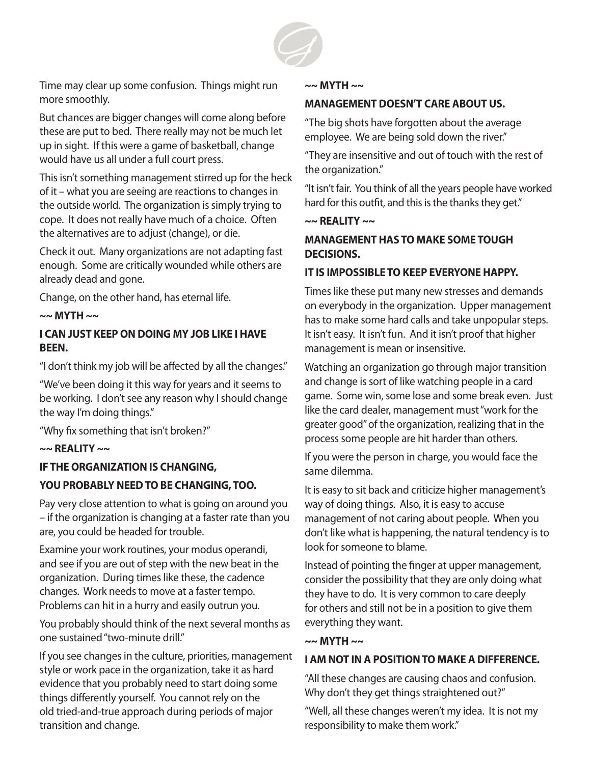

Time may clear up some confusion. Things might run more smoothly.

But chances are bigger changes will come along before these are put to bed. There really may not be much let up in sight. If this were a game of basketball, change would have us all under a full court press.

This isn't something management stirred up for the heck of it – what you are seeing are reactions to changes in the outside world. The organization is simply trying to cope. It does not really have much of a choice. Often the alternatives are to adjust (change), or die.

Check it out. Many organizations are not adapting fast enough. Some are critically wounded while others are already dead and gone.

Change, on the other hand, has eternal life.

#### **~~ MYTH ~~**

#### **I CAN JUST KEEP ON DOING MY JOB LIKE I HAVE BEEN.**

"I don't think my job will be affected by all the changes."

"We've been doing it this way for years and it seems to be working. I don't see any reason why I should change the way I'm doing things."

"Why fix something that isn't broken?"

**~~ REALITY ~~**

#### **IF THE ORGANIZATION IS CHANGING,**

#### **YOU PROBABLY NEED TO BE CHANGING, TOO.**

Pay very close attention to what is going on around you – if the organization is changing at a faster rate than you are, you could be headed for trouble.

Examine your work routines, your modus operandi, and see if you are out of step with the new beat in the organization. During times like these, the cadence changes. Work needs to move at a faster tempo. Problems can hit in a hurry and easily outrun you.

You probably should think of the next several months as one sustained "two-minute drill."

If you see changes in the culture, priorities, management style or work pace in the organization, take it as hard evidence that you probably need to start doing some things differently yourself. You cannot rely on the old tried-and-true approach during periods of major transition and change.

#### **~~ MYTH ~~**

#### **MANAGEMENT DOESN'T CARE ABOUT US.**

"The big shots have forgotten about the average employee. We are being sold down the river."

"They are insensitive and out of touch with the rest of the organization."

"It isn't fair. You think of all the years people have worked hard for this outfit, and this is the thanks they get."

#### **~~ REALITY ~~**

#### **MANAGEMENT HAS TO MAKE SOME TOUGH DECISIONS.**

#### **IT IS IMPOSSIBLE TO KEEP EVERYONE HAPPY.**

Times like these put many new stresses and demands on everybody in the organization. Upper management has to make some hard calls and take unpopular steps. It isn't easy. It isn't fun. And it isn't proof that higher management is mean or insensitive.

Watching an organization go through major transition and change is sort of like watching people in a card game. Some win, some lose and some break even. Just like the card dealer, management must "work for the greater good" of the organization, realizing that in the process some people are hit harder than others.

If you were the person in charge, you would face the same dilemma.

It is easy to sit back and criticize higher management's way of doing things. Also, it is easy to accuse management of not caring about people. When you don't like what is happening, the natural tendency is to look for someone to blame.

Instead of pointing the finger at upper management, consider the possibility that they are only doing what they have to do. It is very common to care deeply for others and still not be in a position to give them everything they want.

#### **~~ MYTH ~~**

#### **I AM NOT IN A POSITION TO MAKE A DIFFERENCE.**

"All these changes are causing chaos and confusion. Why don't they get things straightened out?"

"Well, all these changes weren't my idea. It is not my responsibility to make them work."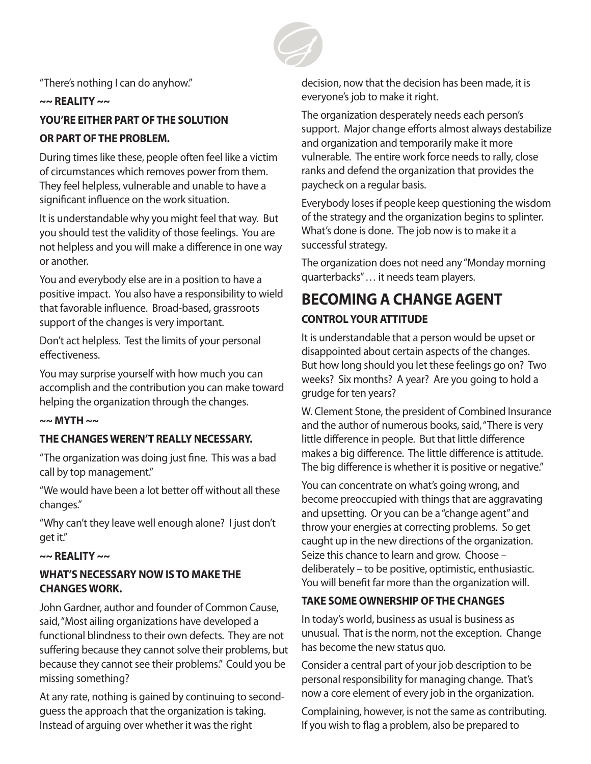

"There's nothing I can do anyhow."

#### **~~ REALITY ~~**

**YOU'RE EITHER PART OF THE SOLUTION** 

#### **OR PART OF THE PROBLEM.**

During times like these, people often feel like a victim of circumstances which removes power from them. They feel helpless, vulnerable and unable to have a significant influence on the work situation.

It is understandable why you might feel that way. But you should test the validity of those feelings. You are not helpless and you will make a difference in one way or another.

You and everybody else are in a position to have a positive impact. You also have a responsibility to wield that favorable influence. Broad-based, grassroots support of the changes is very important.

Don't act helpless. Test the limits of your personal effectiveness.

You may surprise yourself with how much you can accomplish and the contribution you can make toward helping the organization through the changes.

#### **~~ MYTH ~~**

#### **THE CHANGES WEREN'T REALLY NECESSARY.**

"The organization was doing just fine. This was a bad call by top management."

"We would have been a lot better off without all these changes."

"Why can't they leave well enough alone? I just don't get it."

#### **~~ REALITY ~~**

#### **WHAT'S NECESSARY NOW IS TO MAKE THE CHANGES WORK.**

John Gardner, author and founder of Common Cause, said, "Most ailing organizations have developed a functional blindness to their own defects. They are not suffering because they cannot solve their problems, but because they cannot see their problems." Could you be missing something?

At any rate, nothing is gained by continuing to secondguess the approach that the organization is taking. Instead of arguing over whether it was the right

decision, now that the decision has been made, it is everyone's job to make it right.

The organization desperately needs each person's support. Major change efforts almost always destabilize and organization and temporarily make it more vulnerable. The entire work force needs to rally, close ranks and defend the organization that provides the paycheck on a regular basis.

Everybody loses if people keep questioning the wisdom of the strategy and the organization begins to splinter. What's done is done. The job now is to make it a successful strategy.

The organization does not need any "Monday morning quarterbacks" … it needs team players.

### **BECOMING A CHANGE AGENT CONTROL YOUR ATTITUDE**

It is understandable that a person would be upset or disappointed about certain aspects of the changes. But how long should you let these feelings go on? Two weeks? Six months? A year? Are you going to hold a grudge for ten years?

W. Clement Stone, the president of Combined Insurance and the author of numerous books, said, "There is very little difference in people. But that little difference makes a big difference. The little difference is attitude. The big difference is whether it is positive or negative."

You can concentrate on what's going wrong, and become preoccupied with things that are aggravating and upsetting. Or you can be a "change agent" and throw your energies at correcting problems. So get caught up in the new directions of the organization. Seize this chance to learn and grow. Choose – deliberately – to be positive, optimistic, enthusiastic. You will benefit far more than the organization will.

#### **TAKE SOME OWNERSHIP OF THE CHANGES**

In today's world, business as usual is business as unusual. That is the norm, not the exception. Change has become the new status quo.

Consider a central part of your job description to be personal responsibility for managing change. That's now a core element of every job in the organization.

Complaining, however, is not the same as contributing. If you wish to flag a problem, also be prepared to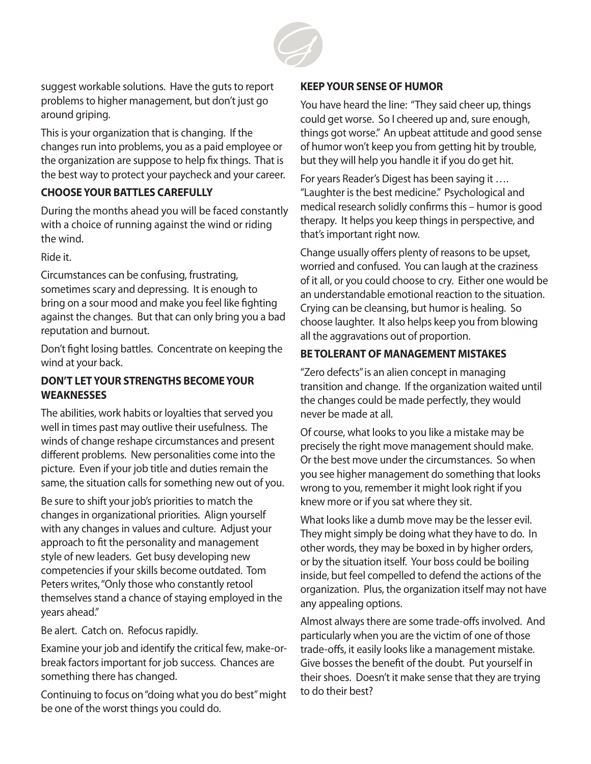

suggest workable solutions. Have the guts to report problems to higher management, but don't just go around griping.

This is your organization that is changing. If the changes run into problems, you as a paid employee or the organization are suppose to help fix things. That is the best way to protect your paycheck and your career.

#### **CHOOSE YOUR BATTLES CAREFULLY**

During the months ahead you will be faced constantly with a choice of running against the wind or riding the wind.

Ride it.

Circumstances can be confusing, frustrating, sometimes scary and depressing. It is enough to bring on a sour mood and make you feel like fighting against the changes. But that can only bring you a bad reputation and burnout.

Don't fight losing battles. Concentrate on keeping the wind at your back.

#### **DON'T LET YOUR STRENGTHS BECOME YOUR WEAKNESSES**

The abilities, work habits or loyalties that served you well in times past may outlive their usefulness. The winds of change reshape circumstances and present different problems. New personalities come into the picture. Even if your job title and duties remain the same, the situation calls for something new out of you.

Be sure to shift your job's priorities to match the changes in organizational priorities. Align yourself with any changes in values and culture. Adjust your approach to fit the personality and management style of new leaders. Get busy developing new competencies if your skills become outdated. Tom Peters writes, "Only those who constantly retool themselves stand a chance of staying employed in the years ahead."

Be alert. Catch on. Refocus rapidly.

Examine your job and identify the critical few, make-orbreak factors important for job success. Chances are something there has changed.

Continuing to focus on "doing what you do best" might be one of the worst things you could do.

#### **KEEP YOUR SENSE OF HUMOR**

You have heard the line: "They said cheer up, things could get worse. So I cheered up and, sure enough, things got worse." An upbeat attitude and good sense of humor won't keep you from getting hit by trouble, but they will help you handle it if you do get hit.

For years Reader's Digest has been saying it …. "Laughter is the best medicine." Psychological and medical research solidly confirms this – humor is good therapy. It helps you keep things in perspective, and that's important right now.

Change usually offers plenty of reasons to be upset, worried and confused. You can laugh at the craziness of it all, or you could choose to cry. Either one would be an understandable emotional reaction to the situation. Crying can be cleansing, but humor is healing. So choose laughter. It also helps keep you from blowing all the aggravations out of proportion.

#### **BE TOLERANT OF MANAGEMENT MISTAKES**

"Zero defects" is an alien concept in managing transition and change. If the organization waited until the changes could be made perfectly, they would never be made at all.

Of course, what looks to you like a mistake may be precisely the right move management should make. Or the best move under the circumstances. So when you see higher management do something that looks wrong to you, remember it might look right if you knew more or if you sat where they sit.

What looks like a dumb move may be the lesser evil. They might simply be doing what they have to do. In other words, they may be boxed in by higher orders, or by the situation itself. Your boss could be boiling inside, but feel compelled to defend the actions of the organization. Plus, the organization itself may not have any appealing options.

Almost always there are some trade-offs involved. And particularly when you are the victim of one of those trade-offs, it easily looks like a management mistake. Give bosses the benefit of the doubt. Put yourself in their shoes. Doesn't it make sense that they are trying to do their best?